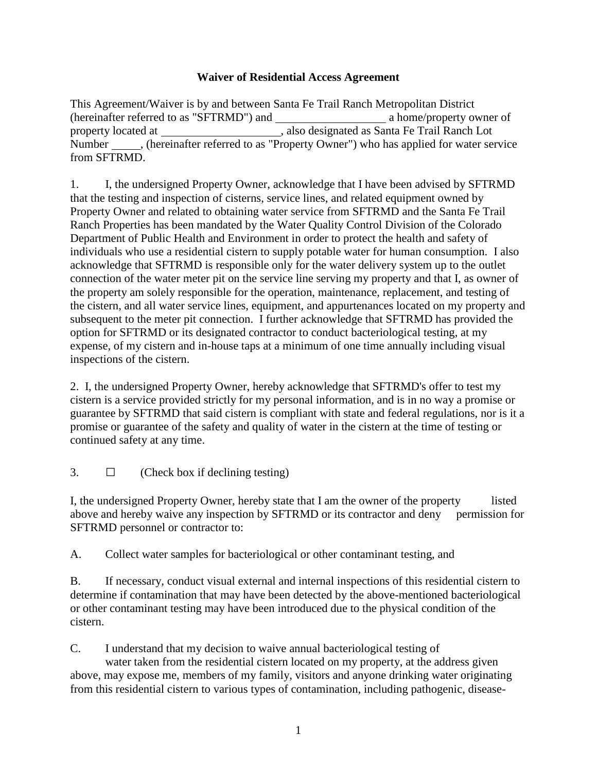## **Waiver of Residential Access Agreement**

This Agreement/Waiver is by and between Santa Fe Trail Ranch Metropolitan District (hereinafter referred to as "SFTRMD") and a home/property owner of property located at , also designated as Santa Fe Trail Ranch Lot Number \_\_\_\_\_\_, (hereinafter referred to as "Property Owner") who has applied for water service from SFTRMD.

1. I, the undersigned Property Owner, acknowledge that I have been advised by SFTRMD that the testing and inspection of cisterns, service lines, and related equipment owned by Property Owner and related to obtaining water service from SFTRMD and the Santa Fe Trail Ranch Properties has been mandated by the Water Quality Control Division of the Colorado Department of Public Health and Environment in order to protect the health and safety of individuals who use a residential cistern to supply potable water for human consumption. I also acknowledge that SFTRMD is responsible only for the water delivery system up to the outlet connection of the water meter pit on the service line serving my property and that I, as owner of the property am solely responsible for the operation, maintenance, replacement, and testing of the cistern, and all water service lines, equipment, and appurtenances located on my property and subsequent to the meter pit connection. I further acknowledge that SFTRMD has provided the option for SFTRMD or its designated contractor to conduct bacteriological testing, at my expense, of my cistern and in-house taps at a minimum of one time annually including visual inspections of the cistern.

2. I, the undersigned Property Owner, hereby acknowledge that SFTRMD's offer to test my cistern is a service provided strictly for my personal information, and is in no way a promise or guarantee by SFTRMD that said cistern is compliant with state and federal regulations, nor is it a promise or guarantee of the safety and quality of water in the cistern at the time of testing or continued safety at any time.

3.  $\Box$  (Check box if declining testing)

I, the undersigned Property Owner, hereby state that I am the owner of the property listed above and hereby waive any inspection by SFTRMD or its contractor and deny permission for SFTRMD personnel or contractor to:

A. Collect water samples for bacteriological or other contaminant testing, and

B. If necessary, conduct visual external and internal inspections of this residential cistern to determine if contamination that may have been detected by the above-mentioned bacteriological or other contaminant testing may have been introduced due to the physical condition of the cistern.

C. I understand that my decision to waive annual bacteriological testing of

water taken from the residential cistern located on my property, at the address given above, may expose me, members of my family, visitors and anyone drinking water originating from this residential cistern to various types of contamination, including pathogenic, disease